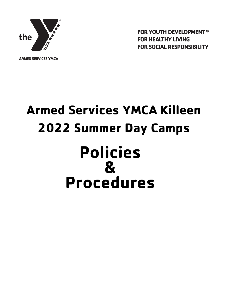

**FOR HEALTHY LIVING FOR SOCIAL RESPONSIBILITY** 

**FOR YOUTH DEVELOPMENT®** 

**ARMED SERVICES YMCA** 

# **Armed Services YMCA Killeen 2022 Summer Day Camps Policies & Procedures**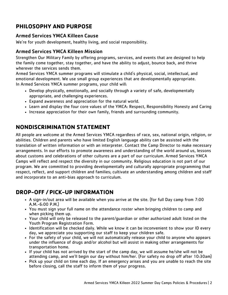# **PHILOSOPHY AND PURPOSE**

#### Armed Services YMCA Killeen Cause

We're for youth development, healthy living, and social responsibility.

#### Armed Services YMCA Killeen Mission

Strengthen Our Military Family by offering programs, services, and events that are designed to help the family come together, stay together, and have the ability to adjust, bounce back, and thrive wherever the services sends them.

Armed Services YMCA summer programs will stimulate a child's physical, social, intellectual, and emotional development. We use small group experiences that are developmentally appropriate. In Armed Services YMCA summer programs, your child will:

- Develop physically, emotionally, and socially through a variety of safe, developmentally appropriate, and challenging experiences.
- Expand awareness and appreciation for the natural world.
- Learn and display the four core values of the YMCA: Respect, Responsibility Honesty and Caring
- Increase appreciation for their own family, friends and surrounding community.

# **NONDISCRIMINATION STATEMENT**

All people are welcome at the Armed Services YMCA regardless of race, sex, national origin, religion, or abilities. Children and parents who have limited English language ability can be assisted with the translation of written information or with an interpreter. Contact the Camp Director to make necessary arrangements. In our efforts to promote awareness and understanding of the world around us, lessons about customs and celebrations of other cultures are a part of our curriculum. Armed Services YMCA Camps will reflect and respect the diversity in our community. Religious education is not part of our program. We are committed to providing developmentally and culturally appropriate programming that respect, reflect, and support children and families; cultivate an understanding among children and staff and incorporate to an anti-bias approach to curriculum.

# **DROP-OFF / PICK-UP INFORMATION**

- A sign-in/out area will be available when you arrive at the site. (for full Day camp from 7:00 A.M.-6:00 P.M.)
- You must sign your full name on the attendance roster when bringing children to camp and when picking them up.
- Your child will only be released to the parent/guardian or other authorized adult listed on the Youth Program Registration Form.
- Identification will be checked daily. While we know it can be inconvenient to show your ID every day, we appreciate you supporting our staff to keep your children safe.
- For the safety of your child, we will not automatically release your child to anyone who appears under the influence of drugs and/or alcohol but will assist in making other arrangements for transportation home.
- If your child has not arrived by the start of the camp day, we will assume he/she will not be attending camp, and we'll begin our day without him/her. (For safety no drop off after 10:30am)
- Pick up your child on time each day. If an emergency arises and you are unable to reach the site before closing, call the staff to inform them of your progress.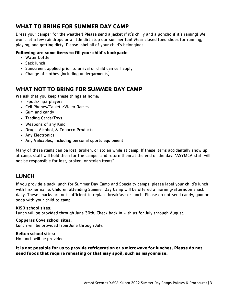# **WHAT TO BRING FOR SUMMER DAY CAMP**

Dress your camper for the weather! Please send a jacket if it's chilly and a poncho if it's raining! We won't let a few raindrops or a little dirt stop our summer fun! Wear closed toed shoes for running, playing, and getting dirty! Please label all of your child's belongings.

#### **Following are some items to fill your child's backpack:**

- Water bottle
- Sack lunch
- Sunscreen, applied prior to arrival or child can self apply
- Change of clothes (including undergarments)

# **WHAT NOT TO BRING FOR SUMMER DAY CAMP**

We ask that you keep these things at home:

- I-pods/mp3 players
- Cell Phones/Tablets/Video Games
- Gum and candy
- Trading Cards/Toys
- Weapons of any Kind
- Drugs, Alcohol, & Tobacco Products
- Any Electronics
- Any Valuables, including personal sports equipment

Many of these items can be lost, broken, or stolen while at camp. If these items accidentally show up at camp, staff will hold them for the camper and return them at the end of the day. \*ASYMCA staff will not be responsible for lost, broken, or stolen items\*

# **LUNCH**

If you provide a sack lunch for Summer Day Camp and Specialty camps, please label your child's lunch with his/her name. Children attending Summer Day Camp will be offered a morning/afternoon snack daily. These snacks are not sufficient to replace breakfast or lunch. Please do not send candy, gum or soda with your child to camp.

#### KISD school sites:

Lunch will be provided through June 30th. Check back in with us for July through August.

#### Copperas Cove school sites:

Lunch will be provided from June through July.

## Belton school sites:

No lunch will be provided.

**It is not possible for us to provide refrigeration or a microwave for lunches. Please do not send foods that require reheating or that may spoil, such as mayonnaise.**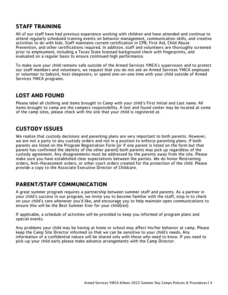# **STAFF TRAINING**

All of our staff have had previous experience working with children and have attended and continue to attend regularly scheduled training events on behavior management, communication skills, and creative activities to do with kids. Staff maintains current certification in CPR, First Aid, Child Abuse Prevention, and other certifications required. In addition, staff and volunteers are thoroughly screened prior to employment, including a Texas State licensed background check with fingerprints, and evaluated on a regular basis to ensure continued high performance.

To make sure your child remains safe outside of the Armed Services YMCA's supervision and to protect our staff members and volunteers, we request that you do not ask an Armed Services YMCA employee or volunteer to babysit, host sleepovers, or spend one-on-one time with your child outside of Armed Services YMCA programs.

## **LOST AND FOUND**

Please label all clothing and items brought to Camp with your child's First Initial and Last name. All items brought to camp are the campers responsibility. A lost and found center may be located at some of the camp sites, please check with the site that your child is registered at.

## **CUSTODY ISSUES**

We realize that custody decisions and parenting plans are very important to both parents. However, we are not a party to any custody orders and not in a position to enforce parenting plans. If both parents are listed on the Program Registration Form (or if one parent is listed on the form but that parent has confirmed the identity of the other parent) both parents may pick up regardless of the custody agreement. Any disagreements must be addressed by the parents away from the site. Please make sure you have established clear expectations between the parties. We do honor Restraining orders, Anti-Harassment orders, or other court orders created for the protection of the child. Please provide a copy to the Associate Executive Director of Childcare.

## **PARENT/STAFF COMMUNICATION**

A great summer program requires a partnership between summer staff and parents. As a partner in your child's success in our program, we invite you to become familiar with the staff, stop in to check on your child's care whenever you'd like, and encourage you to help maintain open communications to ensure this will be the Best Summer Ever for your child(ren).

If applicable, a schedule of activities will be provided to keep you informed of program plans and special events.

Any problems your child may be having at home or school may affect his/her behavior at camp. Please keep the Camp Site Director informed so that we can be sensitive to your child's needs. Any information of a confidential nature will be shared only with those who need to know. If you need to pick-up your child early please make advance arrangements with the Camp Director.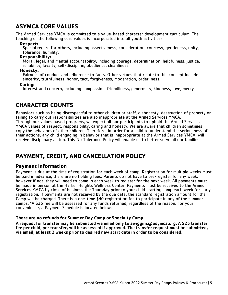# **ASYMCA CORE VALUES**

The Armed Services YMCA is committed to a value-based character development curriculum. The teaching of the following core values is incorporated into all youth activities:

#### **Respect:**

Special regard for others, including assertiveness, consideration, courtesy, gentleness, unity, tolerance, humility.

#### **Responsibility:**

Moral, legal, and mental accountability, including courage, determination, helpfulness, justice, reliability, loyalty, self-discipline, obedience, cleanliness.

#### **Honesty:**

Fairness of conduct and adherence to facts. Other virtues that relate to this concept include sincerity, truthfulness, honor, tact, forgiveness, moderation, orderliness.

#### **Caring:**

Interest and concern, including compassion, friendliness, generosity, kindness, love, mercy.

#### **CHARACTER COUNTS**

Behaviors such as being disrespectful to other children or staff, dishonesty, destruction of property or failing to carry out responsibilities are also inappropriate at the Armed Services YMCA. Through our values based programs, we expect all our participants to uphold the Armed Services YMCA values of respect, responsibility, caring and honesty. We are aware that children sometimes copy the behaviors of other children. Therefore, in order for a child to understand the seriousness of their actions, any child engaging in behavior that is inappropriate at the Armed Services YMCA, will receive disciplinary action. This No Tolerance Policy will enable us to better serve all our families.

#### **PAYMENT, CREDIT, AND CANCELLATION POLICY**

#### **Payment Information**

Payment is due at the time of registration for each week of camp. Registration for multiple weeks must be paid in advance, there are no holding fees. Parents do not have to pre-register for any week, however if not, they will need to come in each week to register for the next week. All payments must be made in person at the Harker Heights Wellness Center. Payments must be received to the Armed Services YMCA by close of business the Thursday prior to your child starting camp each week for early registration. If payments are not received by the due date, the standard registration amount for the Camp will be charged. There is a one-time \$40 registration fee to participate in any of the summer camps. \*A \$35 fee will be assessed for any funds returned, regardless of the reason. For your convenience, a Payment Schedule is located below.

#### **There are no refunds for Summer Day Camp or Specialty Camp.**

A request for transfer may be submitted via email only to awiggins@asymca.org. A \$25 transfer fee per child, per transfer, will be assessed if approved. The transfer request must be submitted, via email, at least 2 weeks prior to desired new start date in order to be considered.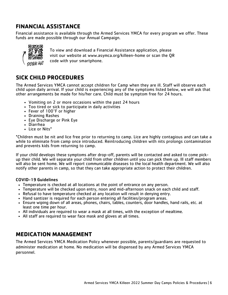# **FINANCIAL ASSISTANCE**

Financial assistance is available through the Armed Services YMCA for every program we offer. These funds are made possible through our Annual Campaign.



To view and download a Financial Assistance application, please visit our website at www.asymca.org/killeen-home or scan the QR code with your smartphone.

## **SICK CHILD PROCEDURES**

The Armed Services YMCA cannot accept children for Camp when they are ill. Staff will observe each child upon daily arrival. If your child is experiencing any of the symptoms listed below, we will ask that other arrangements be made for his/her care. Child must be symptom free for 24 hours.

- Vomiting on 2 or more occasions within the past 24 hours
- Too tired or sick to participate in daily activities
- Fever of 100°F or higher
- Draining Rashes
- Eye Discharge or Pink Eye
- Diarrhea
- Lice or Nits\*

\*Children must be nit and lice free prior to returning to camp. Lice are highly contagious and can take a while to eliminate from camp once introduced. Reintroducing children with nits prolongs contamination and prevents kids from returning to camp.

If your child develops these symptoms after drop-off, parents will be contacted and asked to come pickup their child. We will separate your child from other children until you can pick them up. Ill staff members will also be sent home. We will report communicable diseases to the local health department. We will also notify other parents in camp, so that they can take appropriate action to protect their children.

#### COVID-19 Guidelines

- Temperature is checked at all locations at the point of entrance on any person.
- Temperature will be checked upon entry, noon and mid-afternoon snack on each child and staff.
- Refusal to have temperature checked at any location will result in denying entry.
- Hand santizer is required for each person entering all facilities/program areas.
- Ensure wiping down of all areas, phones, chairs, tables, counters, door handles, hand rails, etc. at least one time per hour.
- All individuals are required to wear a mask at all times, with the exception of mealtime.
- All staff are required to wear face mask and gloves at all times.

#### **MEDICATION MANAGEMENT**

The Armed Services YMCA Medication Policy whenever possible, parents/guardians are requested to administer medication at home. No medication will be dispensed by any Armed Services YMCA personnel.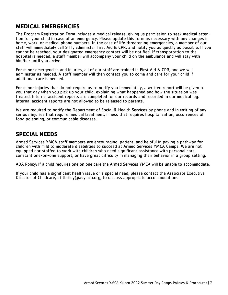# **MEDICAL EMERGENCIES**

The Program Registration Form includes a medical release, giving us permission to seek medical attention for your child in case of an emergency. Please update this form as necessary with any changes in home, work, or medical phone numbers. In the case of life threatening emergencies, a member of our staff will immediately call 911, administer First Aid & CPR, and notify you as quickly as possible. If you cannot be reached, your designated emergency contact will be notified. If transportation to the hospital is needed, a staff member will accompany your child on the ambulance and will stay with him/her until you arrive.

For minor emergencies and injuries, all of our staff are trained in First Aid & CPR, and we will administer as needed. A staff member will then contact you to come and care for your child if additional care is needed.

For minor injuries that do not require us to notify you immediately, a written report will be given to you that day when you pick up your child, explaining what happened and how the situation was treated. Internal accident reports are completed for our records and recorded in our medical log. Internal accident reports are not allowed to be released to parents.

We are required to notify the Department of Social & Health Services by phone and in writing of any serious injuries that require medical treatment, illness that requires hospitalization, occurrences of food poisoning, or communicable diseases.

## **SPECIAL NEEDS**

Armed Services YMCA staff members are encouraging, patient, and helpful in paving a pathway for children with mild to moderate disabilities to succeed at Armed Services YMCA Camps. We are not equipped nor staffed to work with children who need significant assistance with personal care, constant one-on-one support, or have great difficulty in managing their behavior in a group setting.

ADA Policy: If a child requires one on one care the Armed Services YMCA will be unable to accommodate.

If your child has a significant health issue or a special need, please contact the Associate Executive Director of Childcare, at tbriley@asymca.org, to discuss appropriate accommodations.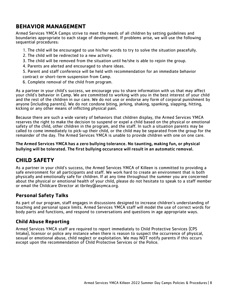# **BEHAVIOR MANAGEMENT**

Armed Services YMCA Camps strive to meet the needs of all children by setting guidelines and boundaries appropriate to each stage of development. If problems arise, we will use the following sequential procedures:

- 1. The child will be encouraged to use his/her words to try to solve the situation peacefully.
- 2. The child will be redirected to a new activity.
- 3. The child will be removed from the situation until he/she is able to rejoin the group.
- 4. Parents are alerted and encouraged to share ideas.
- 5. Parent and staff conference will be held with recommendation for an immediate behavior contract or short-term suspension from Camp.
- 6. Complete removal of the child from program.

As a partner in your child's success, we encourage you to share information with us that may affect your child's behavior in Camp. We are committed to working with you in the best interest of your child and the rest of the children in our care. We do not use or endorse any form of corporal punishment by anyone (including parents). We do not condone biting, jerking, shaking, spanking, slapping, hitting, kicking or any other means of inflicting physical pain.

Because there are such a wide variety of behaviors that children display, the Armed Services YMCA reserves the right to make the decision to suspend or expel a child based on the physical or emotional safety of the child, other children in the program, and the staff. In such a situation parents may be called to come immediately to pick-up their child, or the child may be separated from the group for the remainder of the day. The Armed Services YMCA is unable to provide children with one on one care.

The Armed Services YMCA has a zero bullying tolerance. No taunting, making fun, or physical bullying will be tolerated. The first bullying occurance will result in an automatic removal.

## **CHILD SAFETY**

As a partner in your child's success, the Armed Services YMCA of Killeen is committed to providing a safe environment for all participants and staff. We work hard to create an environment that is both physically and emotionally safe for children. If at any time throughout the summer you are concerned about the physical or emotional health of your child, please do not hesitate to speak to a staff member or email the Childcare Director at tbriley@asymca.org.

#### **Personal Safety Talks**

As part of our program, staff engages in discussions designed to increase children's understanding of touching and personal space limits. Armed Services YMCA staff will model the use of correct words for body parts and functions, and respond to conversations and questions in age appropriate ways.

#### **Child Abuse Reporting**

Armed Services YMCA staff are required to report immediately to Child Protective Services (CPS Intake), licensor or police any instance when there is reason to suspect the occurrence of physical, sexual or emotional abuse, child neglect or exploitation. We may NOT notify parents if this occurs except upon the recommendation of Child Protective Services or the Police.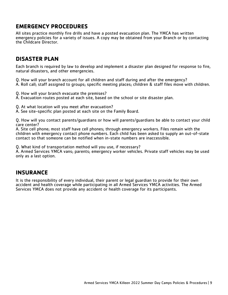# **EMERGENCY PROCEDURES**

All sites practice monthly fire drills and have a posted evacuation plan. The YMCA has written emergency policies for a variety of issues. A copy may be obtained from your Branch or by contacting the Childcare Director.

#### **DISASTER PLAN**

Each branch is required by law to develop and implement a disaster plan designed for response to fire, natural disasters, and other emergencies.

Q. How will your branch account for all children and staff during and after the emergency?

A. Roll call; staff assigned to groups; specific meeting places; children & staff files move with children.

- Q. How will your branch evacuate the premises?
- A. Evacuation routes posted at each site, based on the school or site disaster plan.
- Q. At what location will you meet after evacuation?
- A. See site-specific plan posted at each site on the Family Board.

Q. How will you contact parents/guardians or how will parents/guardians be able to contact your child care center?

A. Site cell phone; most staff have cell phones; through emergency workers. Files remain with the children with emergency contact phone numbers. Each child has been asked to supply an out-of-state contact so that someone can be notified when in-state numbers are inaccessible.

Q. What kind of transportation method will you use, if necessary?

A. Armed Services YMCA vans; parents; emergency worker vehicles. Private staff vehicles may be used only as a last option.

#### **INSURANCE**

It is the responsibility of every individual, their parent or legal guardian to provide for their own accident and health coverage while participating in all Armed Services YMCA activities. The Armed Services YMCA does not provide any accident or health coverage for its participants.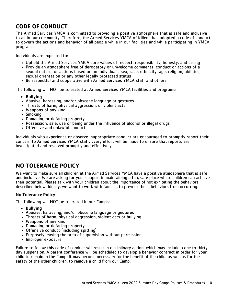# **CODE OF CONDUCT**

The Armed Services YMCA is committed to providing a positive atmosphere that is safe and inclusive to all in our community. Therefore, the Armed Services YMCA of Killeen has adopted a code of conduct to govern the actions and behavior of all people while in our facilities and while participating in YMCA programs.

Individuals are expected to:

- Uphold the Armed Services YMCA core values of respect, responsibility, honesty, and caring
- Provide an atmosphere free of derogatory or unwelcome comments, conduct or actions of a sexual nature, or actions based on an individual's sex, race, ethnicity, age, religion, abilities, sexual orientation or any other legally protected status
- Be respectful and cooperative with Armed Services YMCA staff and others

The following will NOT be tolerated at Armed Services YMCA facilities and programs:

- Bullying
- Abusive, harassing, and/or obscene language or gestures
- Threats of harm, physical aggression, or violent acts
- Weapons of any kind
- Smoking
- Damaging or defacing property
- Possession, sale, use or being under the influence of alcohol or illegal drugs
- Offensive and unlawful conduct

Individuals who experience or observe inappropriate conduct are encouraged to promptly report their concern to Armed Services YMCA staff. Every effort will be made to ensure that reports are investigated and resolved promptly and effectively.

## **NO TOLERANCE POLICY**

We want to make sure all children at the Armed Services YMCA have a positive atmosphere that is safe and inclusive. We are asking for your support in maintaining a fun, safe place where children can achieve their potential. Please talk with your children about the importance of not exhibiting the behaviors described below. Ideally, we want to work with families to prevent these behaviors from occurring.

#### No Tolerance Policy

The following will NOT be tolerated in our Camps:

- Bullying
- Abusive, harassing, and/or obscene language or gestures
- Threats of harm, physical aggression, violent acts or bullying
- Weapons of any kind
- Damaging or defacing property
- Offensive conduct (including spitting)
- Purposely leaving the area of supervision without permission
- Improper exposure

Failure to follow this code of conduct will result in disciplinary action, which may include a one to thirty day suspension. A parent conference will be scheduled to develop a behavior contract in order for your child to remain in the Camp. It may become necessary for the benefit of the child, as well as for the safety of the other children, to remove a child from our Camp.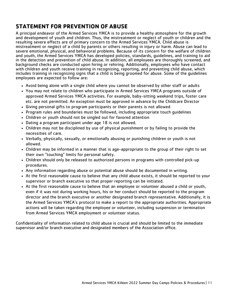# **STATEMENT FOR PREVENTION OF ABUSE**

A principal endeavor of the Armed Services YMCA is to provide a healthy atmosphere for the growth and development of youth and children. Thus, the mistreatment or neglect of youth or children and the resulting severe effects are of primary concern to the Armed Services YMCA. Child abuse is mistreatment or neglect of a child by parents or others resulting in injury or harm. Abuse can lead to severe emotional, physical, and behavioral problems. Because of its concern for the welfare of children and youth, the Armed Services YMCA has developed policies, standards, guidelines, and training to aid in the detection and prevention of child abuse. In addition, all employees are thoroughly screened, and background checks are conducted upon hiring or rehiring. Additionally, employees who have contact with children and youth receive training in recognizing, reporting, and preventing child abuse, which includes training in recognizing signs that a child is being groomed for abuse. Some of the guidelines employees are expected to follow are:

- Avoid being alone with a single child where you cannot be observed by other staff or adults
- You may not relate to children who participate in Armed Services YMCA programs outside of approved Armed Services YMCA activities. For example, baby-sitting weekend trips, foster care etc. are not permitted. An exception must be approved in advance by the Childcare Director
- Giving personal gifts to program participants or their parents is not allowed
- Program rules and boundaries must be followed, including appropriate touch guidelines
- Children or youth should not be singled out for favored attention
- Dating a program participant under age 18 is not allowed.
- Children may not be disciplined by use of physical punishment or by failing to provide the necessities of care.
- Verbally, physically, sexually, or emotionally abusing or punishing children or youth is not allowed.
- Children may be informed in a manner that is age-appropriate to the group of their right to set their own "touching" limits for personal safety.
- Children should only be released to authorized persons in programs with controlled pick-up procedures.
- Any information regarding abuse or potential abuse should be documented in writing.
- At the first reasonable cause to believe that any child abuse exists, it should be reported to your supervisor or branch executive so that proper reporting can be initiated.
- At the first reasonable cause to believe that an employee or volunteer abused a child or youth, even if it was not during working hours, his or her conduct should be reported to the program director and the branch executive or another designated branch representative. Additionally, it is the Armed Services YMCA's protocol to make a report to the appropriate authorities. Appropriate actions will be taken regarding the employee or volunteer, including suspension or termination from Armed Services YMCA employment or volunteer status.

Confidentiality of information related to child abuse is crucial and should be limited to the immediate supervisor and/or branch executive and designated members of the Association office.